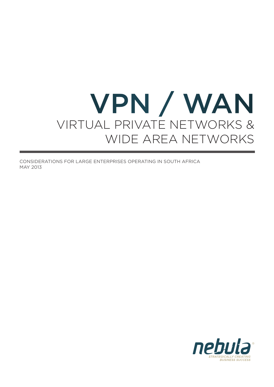# VPN / WAN VIRTUAL PRIVATE NETWORKS & WIDE AREA NETWORKS

CONSIDERATIONS FOR LARGE ENTERPRISES OPERATING IN SOUTH AFRICA MAY 2013

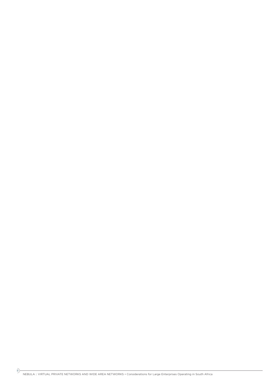NEBULA :: VIRTUAL PRIVATE NETWORKS AND WIDE AREA NETWORKS • Considerations for Large Enterprises Operating in South Africa

ii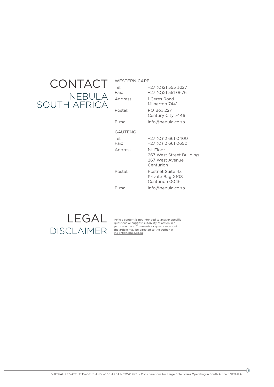### CONTACT WESTERN CAPE NEBULA SOUTH AFRICA

| Tel:<br>Fax: | +27 (0)21 555 3227<br>+27 (0)21 551 0676                              |
|--------------|-----------------------------------------------------------------------|
| Address:     | 1 Ceres Road<br>Milnerton 7441                                        |
| Postal:      | PO Box 227<br>Century City 7446                                       |
| E-mail:      | info@nebula.co.za                                                     |
| GAUTENG      |                                                                       |
| Tel:<br>Fax: | +27 (0)12 661 0400<br>+27 (0)12 661 0650                              |
| Address:     | 1st Floor<br>267 West Street Building<br>267 West Avenue<br>Centurion |
| Postal:      | Postnet Suite 43<br>Private Bag X108<br>Centurion 0046                |
| E-mail:      | info@nebula.co.za                                                     |
|              |                                                                       |



LEGAL Article content is not intended to answer specific<br>
CLAIMER the article may be directed to the author at<br>
<u>insight@nebula.co.za</u>.

iii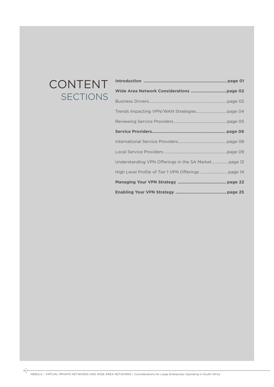## CONTENT SECTIONS

| Understanding VPN Offerings in the SA Market page 12 |  |
|------------------------------------------------------|--|
|                                                      |  |
|                                                      |  |
|                                                      |  |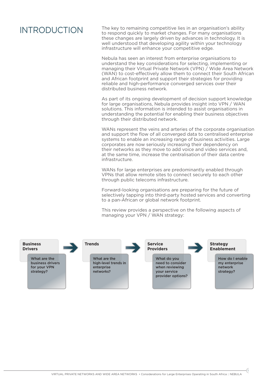### INTRODUCTION

The key to remaining competitive lies in an organisation's ability to respond quickly to market changes. For many organisations these changes are largely driven by advances in technology. It is well understood that developing agility within your technology infrastructure will enhance your competitive edge.

Nebula has seen an interest from enterprise organisations to understand the key considerations for selecting, implementing or managing their Virtual Private Network (VPN) / Wide Area Network (WAN) to cost-effectively allow them to connect their South African and African footprint and support their strategies for providing reliable and high-performance converged services over their distributed business network.

As part of its ongoing development of decision support knowledge for large organisations, Nebula provides insight into VPN / WAN solutions. This information is intended to assist organisations in understanding the potential for enabling their business objectives through their distributed network.

WANs represent the veins and arteries of the corporate organisation and support the flow of all converged data to centralised enterprise systems to enable an increasing range of business activities. Large corporates are now seriously increasing their dependency on their networks as they move to add voice and video services and, at the same time, increase the centralisation of their data centre infrastructure.

WANs for large enterprises are predominantly enabled through VPNs that allow remote sites to connect securely to each other through public telecoms infrastructure.

Forward-looking organisations are preparing for the future of selectively tapping into third-party hosted services and converting to a pan-African or global network footprint.

This review provides a perspective on the following aspects of managing your VPN / WAN strategy:



1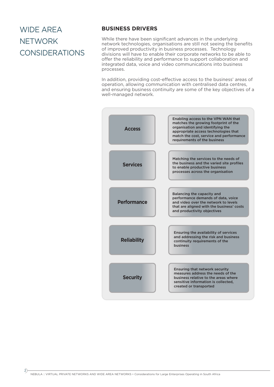### WIDE AREA **NFTWORK** CONSIDERATIONS

 $\overline{2}$ 

#### **BUSINESS DRIVERS**

While there have been significant advances in the underlying network technologies, organisations are still not seeing the benefits of improved productivity in business processes. Technology divisions will have to enable their corporate networks to be able to offer the reliability and performance to support collaboration and integrated data, voice and video communications into business processes.

In addition, providing cost-effective access to the business' areas of operation, allowing communication with centralised data centres, and ensuring business continuity are some of the key objectives of a well-managed network.

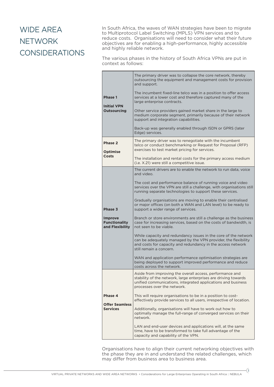### WIDE AREA **NETWORK CONSIDERATIONS**

In South Africa, the waves of WAN strategies have been to migrate to Multiprotocol Label Switching (MPLS) VPN services and to reduce costs. Organisations will need to consider what their future objectives are for enabling a high-performance, highly accessible and highly reliable network.

The various phases in the history of South Africa VPNs are put in context as follows:

| Phase 1<br><b>Initial VPN</b><br><b>Outsourcing</b>                  | The primary driver was to collapse the core network, thereby<br>outsourcing the equipment and management costs for provision<br>and support.<br>The incumbent fixed-line telco was in a position to offer access<br>services at a lower cost and therefore captured many of the<br>large enterprise contracts.<br>Other service providers gained market share in the large to<br>medium corporate segment, primarily because of their network<br>support and integration capabilities.<br>Back-up was generally enabled through ISDN or GPRS (later<br>Edge) services.                                                                                                                                                                                                                                                                                                                                                                                                                                                   |
|----------------------------------------------------------------------|--------------------------------------------------------------------------------------------------------------------------------------------------------------------------------------------------------------------------------------------------------------------------------------------------------------------------------------------------------------------------------------------------------------------------------------------------------------------------------------------------------------------------------------------------------------------------------------------------------------------------------------------------------------------------------------------------------------------------------------------------------------------------------------------------------------------------------------------------------------------------------------------------------------------------------------------------------------------------------------------------------------------------|
| Phase 2<br><b>Optimise</b><br>Costs                                  | The primary driver was to renegotiate with the incumbent<br>telco or conduct benchmarking or Request for Proposal (RFP)<br>exercises to test market pricing for services.<br>The installation and rental costs for the primary access medium<br>( <i>i.e.</i> X.21) were still a competitive issue.                                                                                                                                                                                                                                                                                                                                                                                                                                                                                                                                                                                                                                                                                                                      |
| Phase 3<br><b>Improve</b><br><b>Functionality</b><br>and Flexibility | The current drivers are to enable the network to run data, voice<br>and video.<br>The cost and performance balance of running voice and video<br>services over the VPN are still a challenge, with organisations still<br>running separate technologies to support these services.<br>Gradually organisations are moving to enable their centralised<br>or major offices (on both a WAN and LAN level) to be ready to<br>support a wider range of services.<br>Branch or store environments are still a challenge as the business<br>case for increasing services, based on the costs of bandwidth, is<br>not seen to be viable.<br>While capacity and redundancy issues in the core of the network<br>can be adequately managed by the VPN provider, the flexibility<br>and costs for capacity and redundancy in the access network<br>still remain a concern.<br>WAN and application performance optimisation strategies are<br>being deployed to support improved performance and reduce<br>costs across the network. |
| Phase 4<br><b>Offer Seamless</b><br><b>Services</b>                  | Aside from improving the overall access, performance and<br>stability of the network, large enterprises are driving towards<br>unified communications, integrated applications and business<br>processes over the network.<br>This will require organisations to be in a position to cost-<br>effectively provide services to all users, irrespective of location.<br>Additionally, organisations will have to work out how to<br>optimally manage the full-range of converged services on their<br>network.<br>LAN and end-user devices and applications will, at the same<br>time, have to be transformed to take full advantage of the<br>capacity and capability of the VPN.                                                                                                                                                                                                                                                                                                                                         |

Organisations have to align their current networking objectives with the phase they are in and understand the related challenges, which may differ from business area to business area.

 $\overline{3}$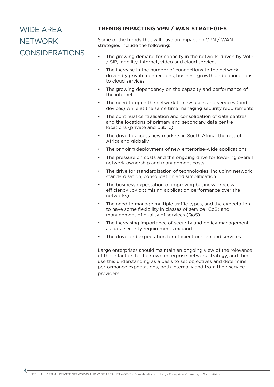### WIDE AREA **NFTWORK** CONSIDERATIONS

#### **TRENDS IMPACTING VPN / WAN STRATEGIES**

Some of the trends that will have an impact on VPN / WAN strategies include the following:

- The growing demand for capacity in the network, driven by VoIP / SIP, mobility, internet, video and cloud services
- The increase in the number of connections to the network, driven by private connections, business growth and connections to cloud services
- The growing dependency on the capacity and performance of the internet
- The need to open the network to new users and services (and devices) while at the same time managing security requirements
- The continual centralisation and consolidation of data centres and the locations of primary and secondary data centre locations (private and public)
- The drive to access new markets in South Africa, the rest of Africa and globally
- The ongoing deployment of new enterprise-wide applications
- The pressure on costs and the ongoing drive for lowering overall network ownership and management costs
- The drive for standardisation of technologies, including network standardisation, consolidation and simplification
- The business expectation of improving business process efficiency (by optimising application performance over the networks)
- The need to manage multiple traffic types, and the expectation to have some flexibility in classes of service (CoS) and management of quality of services (QoS).
- The increasing importance of security and policy management as data security requirements expand
- The drive and expectation for efficient on-demand services

Large enterprises should maintain an ongoing view of the relevance of these factors to their own enterprise network strategy, and then use this understanding as a basis to set objectives and determine performance expectations, both internally and from their service providers.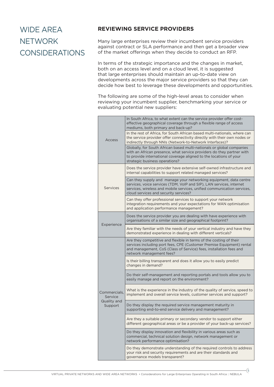### WIDE AREA **NFTWORK** CONSIDERATIONS

#### **REVIEWING SERVICE PROVIDERS**

Many large enterprises review their incumbent service providers against contract or SLA performance and then get a broader view of the market offerings when they decide to conduct an RFP.

In terms of the strategic importance and the changes in market, both on an access level and on a cloud level, it is suggested that large enterprises should maintain an up-to-date view on developments across the major service providers so that they can decide how best to leverage these developments and opportunities.

The following are some of the high-level areas to consider when reviewing your incumbent supplier, benchmarking your service or evaluating potential new suppliers:

| Access                                            | In South Africa, to what extent can the service provider offer cost-<br>effective geographical coverage through a flexible range of access<br>mediums, both primary and back-up?                                                                              |
|---------------------------------------------------|---------------------------------------------------------------------------------------------------------------------------------------------------------------------------------------------------------------------------------------------------------------|
|                                                   | In the rest of Africa, for South African based multi-nationals, where can<br>the service provider offer connectivity directly with their own nodes or<br>indirectly through NNIs (Network-to-Network Interfaces)?                                             |
|                                                   | Globally, for South African based multi-nationals or global companies<br>with an African presence, what service providers do they partner with<br>to provide international coverage aligned to the locations of your<br>strategic business operations?        |
|                                                   | Does the service provider have extensive self-owned infrastructure and<br>internal capabilities to support related managed services?                                                                                                                          |
| <b>Services</b>                                   | Can they supply and manage your networking equipment, data centre<br>services, voice services (TDM, VoIP and SIP), LAN services, internet<br>services, wireless and mobile services, unified communication services,<br>cloud services and security services? |
|                                                   | Can they offer professional services to support your network<br>integration requirements and your expectations for WAN optimisation<br>and application performance management?                                                                                |
|                                                   | Does the service provider you are dealing with have experience with<br>organisations of a similar size and geographical footprint?                                                                                                                            |
| Experience                                        | Are they familiar with the needs of your vertical industry and have they<br>demonstrated experience in dealing with different verticals?                                                                                                                      |
|                                                   | Are they competitive and flexible in terms of the costing of their<br>services including port fees, CPE (Customer Premise Equipment) rental<br>and management, CoS (Class of Service) fees, installation fees and<br>network management fees?                 |
|                                                   | Is their billing transparent and does it allow you to easily predict<br>changes in demand?                                                                                                                                                                    |
|                                                   | Do their self-management and reporting portals and tools allow you to<br>easily manage and report on the environment?                                                                                                                                         |
| Commercials.<br>Service<br>Quality and<br>Support | What is the experience in the industry of the quality of service, speed to<br>implement and overall service levels, customer services and support?                                                                                                            |
|                                                   | Do they display the required service management maturity in<br>supporting end-to-end service delivery and management?                                                                                                                                         |
|                                                   | Are they a suitable primary or secondary vendor to support either<br>different geographical areas or be a provider of your back-up services?                                                                                                                  |
|                                                   | Do they display innovation and flexibility in various areas such as<br>commercial, technical solution design, network management or<br>network performance optimisation?                                                                                      |
|                                                   | Do they demonstrate understanding of the required controls to address<br>your risk and security requirements and are their standards and<br>governance models transparent?                                                                                    |

 $\overline{5}$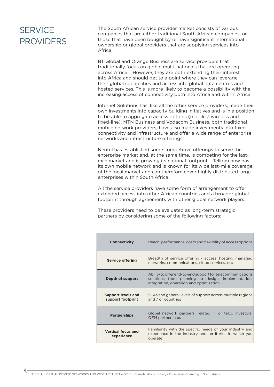The South African service provider market consists of various companies that are either traditional South African companies, or those that have been bought by or have significant international ownership or global providers that are supplying services into Africa.

BT Global and Orange Business are service providers that traditionally focus on global multi-nationals that are operating across Africa. However, they are both extending their interest into Africa and should get to a point where they can leverage their global capabilities and access into global data centres and hosted services. This is more likely to become a possibility with the increasing access of connectivity both into Africa and within Africa.

Internet Solutions has, like all the other service providers, made their own investments into capacity building initiatives and is in a position to be able to aggregate access options (mobile / wireless and fixed-line). MTN Business and Vodacom Business, both traditional mobile network providers, have also made investments into fixed connectivity and infrastructure and offer a wide range of enterprise networks and infrastructure offerings.

Neotel has established some competitive offerings to serve the enterprise market and, at the same time, is competing for the lastmile market and is growing its national footprint. Telkom now has its own mobile network and is known for its wide last-mile coverage of the local market and can therefore cover highly distributed large enterprises within South Africa.

All the service providers have some form of arrangement to offer extended access into other African countries and a broader global footprint through agreements with other global network players.

These providers need to be evaluated as long-term strategic partners by considering some of the following factors:

| <b>Connectivity</b>                            | Reach, performance, costs and flexibility of access options                                                                                                 |  |
|------------------------------------------------|-------------------------------------------------------------------------------------------------------------------------------------------------------------|--|
| <b>Service offering</b>                        | Breadth of service offering - access, hosting, managed<br>networks, communications, cloud services, etc.                                                    |  |
| Depth of support                               | Ability to offer end-to-end support for telecommunications<br>solutions from planning to design, implementation,<br>integration, operation and optimisation |  |
| <b>Support levels and</b><br>support footprint | SLAs and general levels of support across multiple regions<br>and $\sqrt{\ }$ or countries                                                                  |  |
| <b>Partnerships</b>                            | Global network partners, related IT or telco investors,<br><b>OEM</b> partnerships                                                                          |  |
| <b>Vertical focus and</b><br>experience        | Familiarity with the specific needs of your industry and<br>experience in the industry and territories in which you<br>operate                              |  |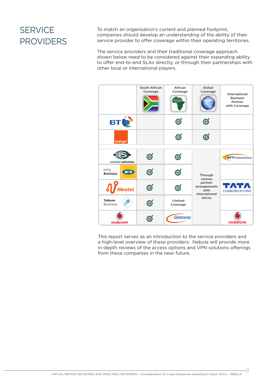To match an organisation's current and planned footprint, companies should develop an understanding of the ability of their service provider to offer coverage within their operating territories.

The service providers and their traditional coverage approach shown below need to be considered against their expanding ability to offer end-to-end SLAs directly, or through their partnerships with other local or international players.

|                                             | <b>South African</b><br>Coverage | African<br>Coverage  | Global<br>Coverage                               | International<br><b>Business</b><br>Partner<br>with Coverage |
|---------------------------------------------|----------------------------------|----------------------|--------------------------------------------------|--------------------------------------------------------------|
| BTO                                         |                                  |                      | $\boldsymbol{\mathsf{Q}}$                        |                                                              |
| orange"                                     |                                  |                      | ${\color{red}Q}$                                 |                                                              |
|                                             |                                  |                      |                                                  |                                                              |
| internet solutions                          |                                  |                      |                                                  | <b>NTT</b> Communications                                    |
| <b>MTN</b><br><b>MTN</b><br><b>Business</b> |                                  |                      | Through<br>various                               |                                                              |
| <b>Neotel</b>                               | $\mathbb{Z}$                     | $\blacktriangleleft$ | partner<br>arrangements<br>with<br>international | TATA<br><b>COMMUNICATIONS</b>                                |
| <b>Telkom</b><br><b>Business</b>            |                                  | Limited<br>Coverage  | telcos                                           |                                                              |
| vodacom                                     |                                  | <b>Gateway</b>       |                                                  | vodafone                                                     |

This report serves as an introduction to the service providers and a high-level overview of these providers. Nebula will provide more in-depth reviews of the access options and VPN solutions offerings from these companies in the near future.

 $\sqrt{7}$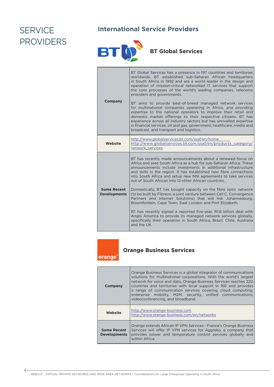### **International Service Providers**



**BT Global Services**

| <b>Company</b>                            | BT Global Services has a presence in 197 countries and territories<br>worldwide. BT established sub-Saharan African headquarters<br>in South Africa in 1992 and are a world leader in the design and<br>operation of mission-critical networked IT services that support<br>the core processes of the world's leading companies, telecoms<br>providers and governments.<br>BT aims to provide best-of-breed managed network services<br>for multinational companies operating in Africa, and providing<br>expertise to the national operators to improve their retail and<br>domestic market offerings to their respective citizens. BT has<br>experience across all industry sectors but has unrivalled expertise<br>in financial services, oil and gas, government, healthcare, media and<br>broadcast, and transport and logistics.                                                                            |
|-------------------------------------------|-------------------------------------------------------------------------------------------------------------------------------------------------------------------------------------------------------------------------------------------------------------------------------------------------------------------------------------------------------------------------------------------------------------------------------------------------------------------------------------------------------------------------------------------------------------------------------------------------------------------------------------------------------------------------------------------------------------------------------------------------------------------------------------------------------------------------------------------------------------------------------------------------------------------|
| Website                                   | http://www.globalservices.bt.com/ssaf/en/home<br>http://www.globalservices.bt.com/ssaf/en/products_category/<br>network services                                                                                                                                                                                                                                                                                                                                                                                                                                                                                                                                                                                                                                                                                                                                                                                  |
| <b>Some Recent</b><br><b>Developments</b> | BT has recently made announcements about a renewed focus on<br>Africa and sees South Africa as a hub for sub-Saharan Africa. These<br>announcements include investments in additional infrastructure<br>and skills in the region. It has established new fibre connections<br>into South Africa and setup new NNI agreements to take services<br>out of South African into 12 other African countries.<br>Domestically, BT has bought capacity on the fibre optic network<br>(to be built by Fibreco, a joint venture between Cell C, Convergence<br>Partners and Internet Solutions) that will link Johannesburg,<br>Bloemfontein, Cape Town, East London and Port Elizabeth.<br>BT has recently signed a reported five-year, R1.8 billion deal with<br>Anglo America to provide its managed network services globally,<br>specifically their operation in South Africa, Brazil, Chile, Australia<br>and the UK. |

orange<sup>®</sup>

### **Orange Business Services**

| Company                                   | Orange Business Services is a global integrator of communications<br>solutions for multinational corporations. With the world's largest<br>network for voice and data, Orange Business Services reaches 220<br>countries and territories with local support in 166 and provides<br>a range of communication services covering cloud computing.<br>enterprise mobility, M2M, security, unified communications,<br>videoconferencing, and broadband. |
|-------------------------------------------|----------------------------------------------------------------------------------------------------------------------------------------------------------------------------------------------------------------------------------------------------------------------------------------------------------------------------------------------------------------------------------------------------------------------------------------------------|
| <b>Website</b>                            | http://www.orange-business.com<br>http://www.orange-business.com/en/networks                                                                                                                                                                                                                                                                                                                                                                       |
| <b>Some Recent</b><br><b>Developments</b> | Orange extends African IP VPN Services - France's Orange Business<br>Services will offer IP VPN services for Aggreko, a company that<br>provides power and temperature control services globally and<br>within Africa.                                                                                                                                                                                                                             |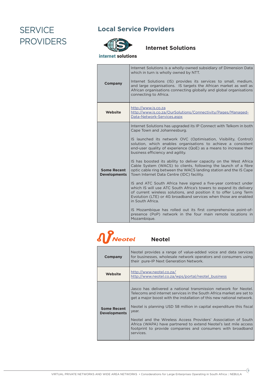### **Local Service Providers**



### **Internet Solutions**

internet solutions

| Company                                   | Internet Solutions is a wholly-owned subsidiary of Dimension Data<br>which in turn is wholly owned by NTT.<br>Internet Solutions (IS) provides its services to small, medium,<br>and large organisations. IS targets the African market as well as<br>African organisations connecting globally and global organisations<br>connecting to Africa.                                                                                                                                                                                                                                                                                                                                                                                                                                                                                                                                                                                                                                                                                                            |
|-------------------------------------------|--------------------------------------------------------------------------------------------------------------------------------------------------------------------------------------------------------------------------------------------------------------------------------------------------------------------------------------------------------------------------------------------------------------------------------------------------------------------------------------------------------------------------------------------------------------------------------------------------------------------------------------------------------------------------------------------------------------------------------------------------------------------------------------------------------------------------------------------------------------------------------------------------------------------------------------------------------------------------------------------------------------------------------------------------------------|
| <b>Website</b>                            | http://www.is.co.za<br>http://www.is.co.za/OurSolutions/Connectivity/Pages/Managed-<br>Data-Network-Services.aspx                                                                                                                                                                                                                                                                                                                                                                                                                                                                                                                                                                                                                                                                                                                                                                                                                                                                                                                                            |
| <b>Some Recent</b><br><b>Developments</b> | Internet Solutions has upgraded its IP Connect with Telkom in both<br>Cape Town and Johannesburg.<br>IS launched its network OVC (Optimisation, Visibility, Control)<br>solution, which enables organisations to achieve a consistent<br>end-user quality of experience (QoE) as a means to increase their<br>business efficiency and agility.<br>IS has boosted its ability to deliver capacity on the West Africa<br>Cable System (WACS) to clients, following the launch of a fibre<br>optic cable ring between the WACS landing station and the IS Cape<br>Town Internet Data Centre (IDC) facility.<br>IS and ATC South Africa have signed a five-year contract under<br>which IS will use ATC South Africa's towers to expand its delivery<br>of current wireless solutions, and position it to offer Long Term<br>Evolution (LTE) or 4G broadband services when those are enabled<br>in South Africa.<br>IS Mozambique has rolled out its first comprehensive point-of-<br>presence (PoP) network in the four main remote locations in<br>Mozambique. |

### $\int\int\!N\!e$ otel **Neotel**

| Company                                   | Neotel provides a range of value-added voice and data services<br>for businesses, wholesale network operators and consumers using<br>their pure-IP Next Generation Network.                                                                                                                                                                                                                                                                                                                                         |
|-------------------------------------------|---------------------------------------------------------------------------------------------------------------------------------------------------------------------------------------------------------------------------------------------------------------------------------------------------------------------------------------------------------------------------------------------------------------------------------------------------------------------------------------------------------------------|
| Website                                   | http://www.neotel.co.za/<br>http://www.neotel.co.za/wps/portal/neotel business                                                                                                                                                                                                                                                                                                                                                                                                                                      |
| <b>Some Recent</b><br><b>Developments</b> | Jasco has delivered a national transmission network for Neotel.<br>Telecoms and internet services in the South Africa market are set to<br>get a major boost with the installation of this new national network.<br>Neotel is planning USD 58 million in capital expenditure this fiscal<br>year.<br>Neotel and the Wireless Access Providers' Association of South<br>Africa (WAPA) have partnered to extend Neotel's last mile access<br>footprint to provide companies and consumers with broadband<br>services. |

9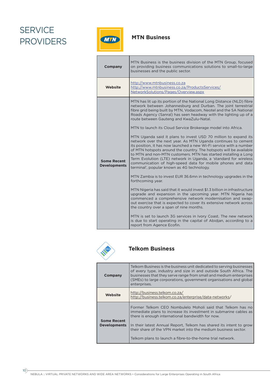### **SERVICE** PROVIDERS **MTN** MTN Business



| Company                                   | MTN Business is the business division of the MTN Group, focused<br>on providing business communications solutions to small-to-large<br>businesses and the public sector.                                                                                                                                                                                                                                                                                                                                                                                                                                                                                                                                                                                                                                                                                                                                                                                                                                                                                                                                                                                                                                                                                                                                                                              |
|-------------------------------------------|-------------------------------------------------------------------------------------------------------------------------------------------------------------------------------------------------------------------------------------------------------------------------------------------------------------------------------------------------------------------------------------------------------------------------------------------------------------------------------------------------------------------------------------------------------------------------------------------------------------------------------------------------------------------------------------------------------------------------------------------------------------------------------------------------------------------------------------------------------------------------------------------------------------------------------------------------------------------------------------------------------------------------------------------------------------------------------------------------------------------------------------------------------------------------------------------------------------------------------------------------------------------------------------------------------------------------------------------------------|
| Website                                   | http://www.mtnbusiness.co.za<br>http://www.mtnbusiness.co.za/ProductsServices/<br>NetworkSolutions/Pages/Overview.aspx                                                                                                                                                                                                                                                                                                                                                                                                                                                                                                                                                                                                                                                                                                                                                                                                                                                                                                                                                                                                                                                                                                                                                                                                                                |
| <b>Some Recent</b><br><b>Developments</b> | MTN has lit up its portion of the National Long Distance (NLD) fibre<br>network between Johannesburg and Durban. The joint terrestrial<br>fibre grid being built by MTN, Vodacom, Neotel and the SA National<br>Roads Agency (Sanral) has seen headway with the lighting up of a<br>route between Gauteng and KwaZulu-Natal.<br>MTN to launch its Cloud Service Brokerage model into Africa.<br>MTN Uganda said it plans to invest USD 70 million to expand its<br>network over the next year. As MTN Uganda continues to cement<br>its position, it has now launched a new Wi-Fi service with a number<br>of MTN hotspots around the country. The hotspots will be available<br>to MTN and non-MTN customers. MTN has started installing a Long<br>Term Evolution (LTE) network in Uganda, a 'standard for wireless<br>communication of high-speed data for mobile phones and data<br>terminal', popular known as 4G technology.<br>MTN Zambia is to invest EUR 36.6mn in technology upgrades in the<br>forthcoming year.<br>MTN Nigeria has said that it would invest \$1.3 billion in infrastructure<br>upgrade and expansion in the upcoming year. MTN Nigeria has<br>commenced a comprehensive network modernisation and swap-<br>out exercise that is expected to cover its extensive network across<br>the country over a span of nine months. |
|                                           | MTN is set to launch 3G services in Ivory Coast. The new network<br>is due to start operating in the capital of Abidian, according to a<br>report from Agence Ecofin.                                                                                                                                                                                                                                                                                                                                                                                                                                                                                                                                                                                                                                                                                                                                                                                                                                                                                                                                                                                                                                                                                                                                                                                 |



### **Telkom Business**

| Company                                   | Telkom Business is the business unit dedicated to serving businesses<br>of every type, industry and size in and outside South Africa. The<br>businesses that they serve range from small and medium enterprises<br>(SMEs) to large corporations, government organisations and global<br>enterprises.                                                                                      |
|-------------------------------------------|-------------------------------------------------------------------------------------------------------------------------------------------------------------------------------------------------------------------------------------------------------------------------------------------------------------------------------------------------------------------------------------------|
| Website                                   | http://business.telkom.co.za/<br>http://business.telkom.co.za/enterprise/data-networks/                                                                                                                                                                                                                                                                                                   |
| <b>Some Recent</b><br><b>Developments</b> | Former Telkom CEO Nombulelo Moholi said that Telkom has no<br>immediate plans to increase its investment in submarine cables as<br>there is enough international bandwidth for now.<br>In their latest Annual Report, Telkom has shared its intent to grow<br>their share of the VPN market into the medium business sector.<br>Telkom plans to launch a fibre-to-the-home trial network. |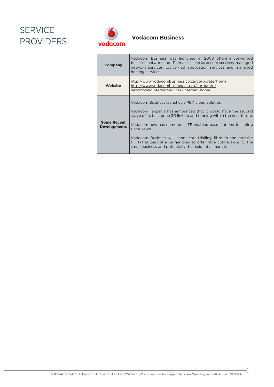### **SERVICE** PROVIDERS **Vodacom Business**



| Company                                   | Vodacom Business was launched in 2008 offering converged<br>business network and IT services such as access services, managed<br>network services, converged application services and managed<br>hosting services.                                                                                                                                                                                                                                                       |
|-------------------------------------------|--------------------------------------------------------------------------------------------------------------------------------------------------------------------------------------------------------------------------------------------------------------------------------------------------------------------------------------------------------------------------------------------------------------------------------------------------------------------------|
| <b>Website</b>                            | http://www.vodacombusiness.co.za/corporate/home<br>http://www.vodacombusiness.co.za/corporate/<br>networkandinternetservices/internet home                                                                                                                                                                                                                                                                                                                               |
| <b>Some Recent</b><br><b>Developments</b> | Vodacom Business launches a PBX cloud solution.<br>Vodacom Tanzania has announced that it would have the second<br>stage of its backbone 3G link up and running within the near future.<br>Vodacom now has numerous LTE enabled base stations, including<br>Cape Town.<br>Vodacom Business will soon start trialling fibre to the premise<br>(FTTx) as part of a bigger plan to offer fibre connections to the<br>small business and potentially the residential market. |

 $-\left(\overline{1}\right)$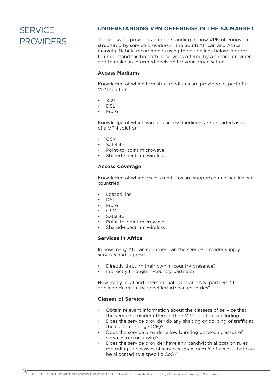$12$ 

#### **UNDERSTANDING VPN OFFERINGS IN THE SA MARKET**

The following provides an understanding of how VPN offerings are structured by service providers in the South African and African markets. Nebula recommends using the guidelines below in order to understand the breadth of services offered by a service provider and to make an informed decision for your organisation.

#### **Access Mediums**

Knowledge of which terrestrial mediums are provided as part of a VPN solution:

- $X.21$
- DSL
- **Fibre**

Knowledge of which wireless access mediums are provided as part of a VPN solution:

- GSM
- Satellite
- Point-to-point microwave
- Shared-spectrum wireless

#### **Access Coverage**

Knowledge of which access mediums are supported in other African countries?

- Leased line
- DSL
- Fibre
- GSM
- Satellite
- Point-to-point microwave
- Shared-spectrum wireless

#### **Services in Africa**

In how many African countries can the service provider supply services and support:

- Directly through their own in-country presence?
- Indirectly through in-country partners?

How many local and international POPs and NNI partners (if applicable) are in the specified African countries?

#### **Classes of Service**

- Obtain relevant information about the classess of service that the service provider offers in their VPN solutions including:
- Does the service provider do any shaping or policing of traffic at the customer edge (CE)?
- Does the service provider allow bursting between classes of services (up or down)?
- Does the service provider have any bandwidth allocation rules regarding the classes of services (maximum % of access that can be allocated to a specific CoS)?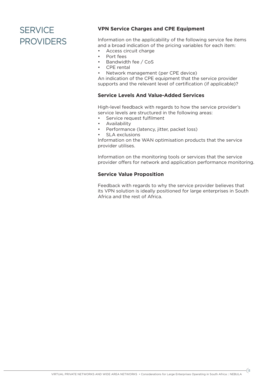#### **VPN Service Charges and CPE Equipment**

Information on the applicability of the following service fee items and a broad indication of the pricing variables for each item:

- Access circuit charge
- Port fees
- Bandwidth fee / CoS
- CPE rental
- Network management (per CPE device)

An indication of the CPE equipment that the service provider supports and the relevant level of certification (if applicable)?

#### **Service Levels And Value-Added Services**

High-level feedback with regards to how the service provider's service levels are structured in the following areas:

- Service request fulfilment
- Availability
- Performance (latency, jitter, packet loss)
- SLA exclusions

Information on the WAN optimisation products that the service provider utilises.

Information on the monitoring tools or services that the service provider offers for network and application performance monitoring.

#### **Service Value Proposition**

Feedback with regards to why the service provider believes that its VPN solution is ideally positioned for large enterprises in South Africa and the rest of Africa.

 $\sqrt{13}$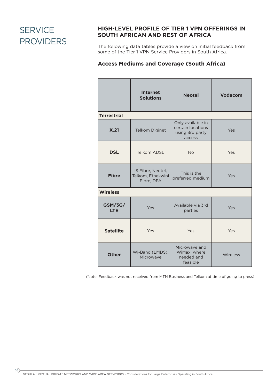$14)$ 

#### **HIGH-LEVEL PROFILE OF TIER 1 VPN OFFERINGS IN SOUTH AFRICAN AND REST OF AFRICA**

The following data tables provide a view on initial feedback from some of the Tier 1 VPN Service Providers in South Africa.

#### **Access Mediums and Coverage (South Africa)**

|                              | <b>Internet</b><br><b>Solutions</b>                  | <b>Neotel</b>                                                       | <b>Vodacom</b> |
|------------------------------|------------------------------------------------------|---------------------------------------------------------------------|----------------|
| <b>Terrestrial</b>           |                                                      |                                                                     |                |
| X.21                         | <b>Telkom Diginet</b>                                | Only available in<br>certain locations<br>using 3rd party<br>access | Yes            |
| <b>DSL</b>                   | Telkom ADSL                                          | <b>No</b>                                                           | Yes            |
| <b>Fibre</b>                 | IS Fibre, Neotel,<br>Telkom, Ethekwini<br>Fibre, DFA | This is the<br>preferred medium                                     | Yes            |
| <b>Wireless</b>              |                                                      |                                                                     |                |
| <b>GSM/3G/</b><br><b>LTE</b> | Yes                                                  | Available via 3rd<br>parties                                        | Yes            |
| <b>Satellite</b>             | Yes                                                  | Yes                                                                 | Yes            |
| <b>Other</b>                 | Wi-Band (LMDS),<br>Microwave                         | Microwave and<br>WiMax, where<br>needed and<br>feasible             | Wireless       |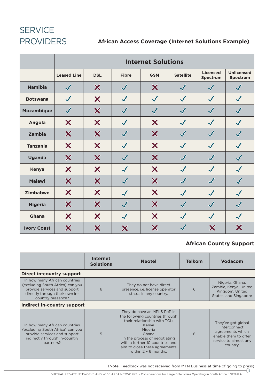#### **African Access Coverage (Internet Solutions Example)**

|                    | <b>Internet Solutions</b> |            |                      |                           |                      |                                    |                                      |  |
|--------------------|---------------------------|------------|----------------------|---------------------------|----------------------|------------------------------------|--------------------------------------|--|
|                    | <b>Leased Line</b>        | <b>DSL</b> | <b>Fibre</b>         | <b>GSM</b>                | <b>Satellite</b>     | <b>Licensed</b><br><b>Spectrum</b> | <b>Unlicensed</b><br><b>Spectrum</b> |  |
| <b>Namibia</b>     | $\sqrt{}$                 | X          | $\sqrt{}$            | X                         | $\sqrt{}$            | $\sqrt{}$                          | $\blacktriangledown$                 |  |
| <b>Botswana</b>    | $\sqrt{}$                 | X          | $\sqrt{}$            | $\sqrt{}$                 | $\sqrt{}$            | $\sqrt{}$                          | $\bigvee$                            |  |
| <b>Mozambique</b>  | $\sqrt{}$                 | X          | $\sqrt{}$            | $\sqrt{}$                 | $\blacktriangledown$ | $\sqrt{}$                          | $\sqrt{}$                            |  |
| Angola             | X                         | X          | $\sqrt{}$            | $\boldsymbol{\mathsf{X}}$ | $\sqrt{}$            | $\sqrt{}$                          | $\sqrt{}$                            |  |
| <b>Zambia</b>      | X                         | X          | $\blacktriangledown$ | X                         | $\blacktriangledown$ | $\sqrt{}$                          | $\blacktriangle$                     |  |
| <b>Tanzania</b>    | X                         | X          | $\sqrt{}$            | X                         | $\sqrt{}$            | $\sqrt{}$                          | $\checkmark$                         |  |
| <b>Uganda</b>      | X                         | X          | $\blacktriangle$     | X                         | $\sqrt{}$            | $\sqrt{}$                          | $\blacktriangledown$                 |  |
| <b>Kenya</b>       | X                         | X          | $\sqrt{}$            | X                         | $\sqrt{}$            | $\sqrt{}$                          | $\checkmark$                         |  |
| <b>Malawi</b>      | X                         | X          | $\blacktriangledown$ | X                         | $\sqrt{}$            | $\sqrt{}$                          | $\blacktriangle$                     |  |
| <b>Zimbabwe</b>    | X                         | X          | $\blacktriangledown$ | X                         | $\sqrt{}$            | $\sqrt{}$                          | $\checkmark$                         |  |
| <b>Nigeria</b>     | X                         | X          | $\sqrt{}$            | X                         | $\sqrt{}$            | $\sqrt{}$                          | $\sqrt{}$                            |  |
| Ghana              | X                         | X          | $\sqrt{}$            | X                         | $\sqrt{}$            | $\sqrt{}$                          | $\sqrt{}$                            |  |
| <b>Ivory Coast</b> | X                         | X          | X                    | X                         | $\sqrt{}$            | X                                  | X                                    |  |

#### **African Country Support**

|                                                                                                                                                          | <b>Internet</b><br><b>Solutions</b> | <b>Neotel</b>                                                                                                                                                                                                                                              | <b>Telkom</b> | <b>Vodacom</b>                                                                                                      |
|----------------------------------------------------------------------------------------------------------------------------------------------------------|-------------------------------------|------------------------------------------------------------------------------------------------------------------------------------------------------------------------------------------------------------------------------------------------------------|---------------|---------------------------------------------------------------------------------------------------------------------|
| Direct in-country support                                                                                                                                |                                     |                                                                                                                                                                                                                                                            |               |                                                                                                                     |
| In how many African countries<br>(excluding South Africa) can you<br>provide services and support<br>directly through their own in-<br>country presence? | 6                                   | They do not have direct<br>presence, i.e. license operator<br>status in any country.                                                                                                                                                                       | 6             | Nigeria, Ghana,<br>Zambia, Kenya, United<br>Kingdom, United<br>States, and Singapore                                |
| Indirect in-country support                                                                                                                              |                                     |                                                                                                                                                                                                                                                            |               |                                                                                                                     |
| In how many African countries<br>(excluding South Africa) can you<br>provide services and support<br>indirectly through in-country<br>partners?          | 5                                   | They do have an MPLS PoP in<br>the following countries through<br>their relationship with TCL:<br>Kenya<br>Nigeria<br>Ghana<br>In the process of negotiating<br>with a further 10 countries and<br>aim to close these agreements<br>within $2 - 6$ months. | 8             | They've got global<br>interconnect<br>agreements which<br>enable them to offer<br>service to almost any<br>country. |

 $-\left(15\right)$ (Note: Feedback was not received from MTN Business at time of going to press)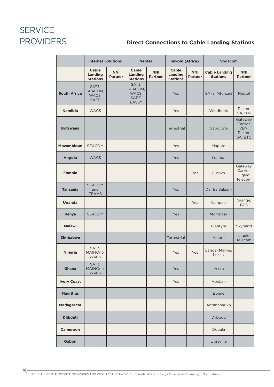#### **Direct Connections to Cable Landing Stations**

|                     | <b>Internet Solutions</b>                  |                              | <b>Neotel</b>                                      |                              | <b>Telkom (Africa)</b>                     |                              | <b>Vodacom</b>                          |                                                  |
|---------------------|--------------------------------------------|------------------------------|----------------------------------------------------|------------------------------|--------------------------------------------|------------------------------|-----------------------------------------|--------------------------------------------------|
|                     | <b>Cable</b><br>Landing<br><b>Stations</b> | <b>NNI</b><br><b>Partner</b> | <b>Cable</b><br>Landing<br><b>Stations</b>         | <b>NNI</b><br><b>Partner</b> | <b>Cable</b><br>Landing<br><b>Stations</b> | <b>NNI</b><br><b>Partner</b> | <b>Cable Landing</b><br><b>Stations</b> | <b>NNI</b><br><b>Partner</b>                     |
| <b>South Africa</b> | SAT3,<br>SEACOM,<br>WACS,<br><b>SAFE</b>   |                              | SAT3.<br>SEACOM,<br>WACS,<br>SAFE,<br><b>EASSY</b> |                              | Yes                                        |                              | SAT3, Mtunzini                          | <b>Neotel</b>                                    |
| <b>Namibia</b>      | <b>WACS</b>                                |                              |                                                    |                              | Yes                                        |                              | Windhoek                                | Telkom<br>SA, ITN                                |
| <b>Botswana</b>     |                                            |                              |                                                    |                              | <b>Terrestrial</b>                         |                              | Gaborone                                | Gateway<br>Carrier,<br>VBN.<br>Telkom<br>SA, BTC |
| Mozambique          | <b>SEACOM</b>                              |                              |                                                    |                              | Yes                                        |                              | Maputo                                  |                                                  |
| Angola              | <b>WACS</b>                                |                              |                                                    |                              | Yes                                        |                              | Luanda                                  |                                                  |
| Zambia              |                                            |                              |                                                    |                              |                                            | Yes                          | Lusaka                                  | Gateway<br>Carrier,<br>Liquid<br>Telecom         |
| <b>Tanzania</b>     | <b>SEACOM</b><br>and<br><b>TEAMS</b>       |                              |                                                    |                              | Yes                                        |                              | Dar Es Salaam                           |                                                  |
| Uganda              |                                            |                              |                                                    |                              |                                            | Yes                          | Kampala                                 | Orange,<br><b>BCS</b>                            |
| Kenya               | <b>SEACOM</b>                              |                              |                                                    |                              | Yes                                        |                              | Mombasa                                 |                                                  |
| <b>Malawi</b>       |                                            |                              |                                                    |                              |                                            |                              | Blantyre                                | Skyband                                          |
| <b>Zimbabwe</b>     |                                            |                              |                                                    |                              | <b>Terrestrial</b>                         |                              | Harare                                  | Liquid<br>Telecom                                |
| <b>Nigeria</b>      | SAT3,<br>MAINOne,<br><b>WACS</b>           |                              |                                                    |                              | Yes                                        | Yes                          | Lagos (Marina,<br>Lekki)                |                                                  |
| <b>Ghana</b>        | SAT3,<br>MAINOne,<br><b>WACS</b>           |                              |                                                    |                              | Yes                                        |                              | Accra                                   |                                                  |
| <b>Ivory Coast</b>  |                                            |                              |                                                    |                              | Yes                                        |                              | Abidjan                                 |                                                  |
| <b>Mauritius</b>    |                                            |                              |                                                    |                              |                                            |                              | Ebene                                   |                                                  |
| Madagascar          |                                            |                              |                                                    |                              |                                            |                              | Antananarivo                            |                                                  |
| Djibouti            |                                            |                              |                                                    |                              |                                            |                              | Djibouti                                |                                                  |
| <b>Cameroon</b>     |                                            |                              |                                                    |                              |                                            |                              | Douala                                  |                                                  |
| Gabon               |                                            |                              |                                                    |                              |                                            |                              | Libreville                              |                                                  |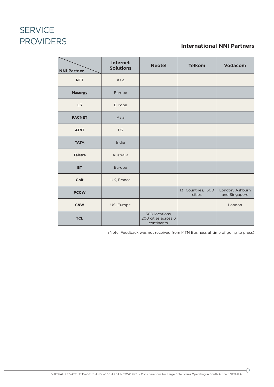## **SERVICE** PROVIDERS **International NNI Partners**

| <b>NNI Partner</b> | <b>Internet</b><br><b>Solutions</b> | <b>Neotel</b>                                        | <b>Telkom</b>                 | <b>Vodacom</b>                   |
|--------------------|-------------------------------------|------------------------------------------------------|-------------------------------|----------------------------------|
| <b>NTT</b>         | Asia                                |                                                      |                               |                                  |
| <b>Masergy</b>     | Europe                              |                                                      |                               |                                  |
| L3                 | Europe                              |                                                      |                               |                                  |
| <b>PACNET</b>      | Asia                                |                                                      |                               |                                  |
| AT&T               | <b>US</b>                           |                                                      |                               |                                  |
| <b>TATA</b>        | India                               |                                                      |                               |                                  |
| <b>Telstra</b>     | Australia                           |                                                      |                               |                                  |
| <b>BT</b>          | Europe                              |                                                      |                               |                                  |
| Colt               | UK, France                          |                                                      |                               |                                  |
| <b>PCCW</b>        |                                     |                                                      | 131 Countries, 1500<br>cities | London, Ashburn<br>and Singapore |
| C&W                | US, Europe                          |                                                      |                               | London                           |
| <b>TCL</b>         |                                     | 300 locations,<br>200 cities across 6<br>continents. |                               |                                  |

(Note: Feedback was not received from MTN Business at time of going to press)

 $-(17)$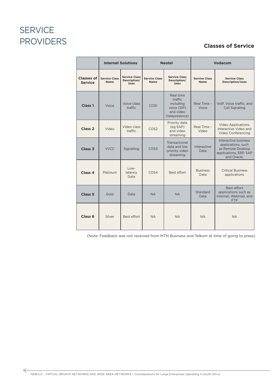## **SERVICE** PROVIDERS **Classes of Service**

18

|                                     | <b>Internet Solutions</b>           |                                                     | <b>Neotel</b>                       |                                                                                 |                                     |                                                                                                          | Vodacom |
|-------------------------------------|-------------------------------------|-----------------------------------------------------|-------------------------------------|---------------------------------------------------------------------------------|-------------------------------------|----------------------------------------------------------------------------------------------------------|---------|
| <b>Classes of</b><br><b>Service</b> | <b>Service Class</b><br><b>Name</b> | <b>Service Class</b><br>Description/<br><b>Uses</b> | <b>Service Class</b><br><b>Name</b> | <b>Service Class</b><br>Description/<br><b>Uses</b>                             | <b>Service Class</b><br><b>Name</b> | <b>Service Class</b><br><b>Description/Uses</b>                                                          |         |
| <b>Class 1</b>                      | Voice                               | Voice class<br>traffic                              | CO <sub>S1</sub>                    | Real time<br>traffic<br>including<br>voice (SIP)<br>and video<br>(telepresence) | Real Time -<br>Voice                | VoIP, Voice traffic, and<br><b>Call Signaling</b>                                                        |         |
| Class <sub>2</sub>                  | Video                               | Video class<br>traffic                              | COS <sub>2</sub>                    | Priority data<br>(eg SAP)<br>and video<br>streaming                             | Real Time -<br>Video                | Video Applications,<br>Interactive Video and<br>Video Conferencing                                       |         |
| Class 3                             | <b>VVCC</b>                         | Signalling                                          | COS3                                | Transactional<br>data and low<br>priority video<br>streaming                    | Interactive<br>Data                 | Interactive business<br>applications, such<br>as Remote Desktop<br>applications, ERP, SAP<br>and Oracle. |         |
| Class <sub>4</sub>                  | Platinum                            | $Low-$<br>latency<br>Data                           | CO <sub>S4</sub>                    | Best effort                                                                     | <b>Business</b><br>Data             | <b>Critical Business</b><br>applications                                                                 |         |
| Class <sub>5</sub>                  | Gold                                | Data                                                | <b>NA</b>                           | <b>NA</b>                                                                       | Standard<br>Data                    | Best-effort<br>applications such as<br>Internet, Webmail, and<br><b>FTP</b>                              |         |
| Class <sub>6</sub>                  | Silver                              | Best effort                                         | <b>NA</b>                           | <b>NA</b>                                                                       | <b>NA</b>                           | <b>NA</b>                                                                                                |         |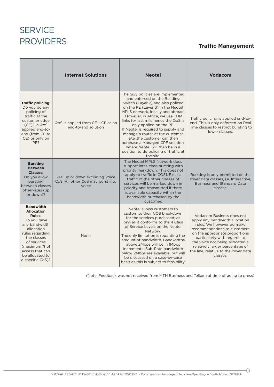## **SERVICE** PROVIDERS **Traffic Management**

 $(19$ 

|                                                                                                                                                                                                                                  | <b>Internet Solutions</b>                                                     | <b>Neotel</b>                                                                                                                                                                                                                                                                                                                                                                                                                                                                                                             | <b>Vodacom</b>                                                                                                                                                                                                                                                                                                       |
|----------------------------------------------------------------------------------------------------------------------------------------------------------------------------------------------------------------------------------|-------------------------------------------------------------------------------|---------------------------------------------------------------------------------------------------------------------------------------------------------------------------------------------------------------------------------------------------------------------------------------------------------------------------------------------------------------------------------------------------------------------------------------------------------------------------------------------------------------------------|----------------------------------------------------------------------------------------------------------------------------------------------------------------------------------------------------------------------------------------------------------------------------------------------------------------------|
| <b>Traffic policing:</b><br>Do you do any<br>policing of<br>traffic at the<br>customer edge<br>$(CE)?$ Is QoS<br>applied end-to-<br>end (from PE to<br>CE) or only on<br>PE?                                                     | QoS is applied from CE - CE as an<br>end-to-end solution                      | The QoS policies are implemented<br>and enforced on the Building<br>Switch (Layer 2) and also policed<br>on the PE (Layer 3) in the Neotel<br>MPLS network, locally and abroad.<br>However, in Africa, we use TDM<br>links for last mile hence the QoS is<br>only applied on the PE.<br>If Neotel is required to supply and<br>manage a router at the customer<br>site, the customer can then<br>purchase a Managed CPE solution,<br>where Neotel will then be in a<br>position to do policing of traffic at<br>the site. | Traffic policing is applied end-to-<br>end. This is only enforced on Real<br>Time classes to restrict bursting to<br>lower classes.                                                                                                                                                                                  |
| <b>Bursting</b><br><b>Between</b><br><b>Classes:</b><br>Do you allow<br>bursting<br>between classes<br>of services (up<br>or down)?                                                                                              | Yes, up or down excluding Voice<br>CoS. All other CoS may burst into<br>Voice | The Neotel MPLS Network does<br>support inter-class bursting with<br>priority markdown. This does not<br>apply to traffic in COS1. Excess<br>traffic of the other classes of<br>services will be marked down in<br>priority and transmitted if there<br>is available capacity within the<br>bandwidth purchased by the<br>customer.                                                                                                                                                                                       | Bursting is only permitted on the<br>lower data classes, <i>i.e.</i> Interactive,<br><b>Business and Standard Data</b><br>classes.                                                                                                                                                                                   |
| <b>Bandwidth</b><br><b>Allocation</b><br><b>Rules:</b><br>Do you have<br>any bandwidth<br>allocation<br>rules regarding<br>the classes<br>of services<br>(maximum % of<br>access that can<br>be allocated to<br>a specific CoS)? | None                                                                          | Neotel allows customers to<br>customise their COS breakdown<br>for the services purchased; as<br>long as it conforms to the 4 Class<br>of Service Levels on the Neotel<br>Network.<br>The only limitation is regarding the<br>amount of bandwidth. Bandwidths<br>above 2Mbps will be in 1Mbps<br>increments. Sub-Rate bandwidth<br>below 2Mbps are available, but will<br>be discussed on a case-by-case<br>basis as this is subject to feasibility.                                                                      | Vodacom Business does not<br>apply any bandwidth allocation<br>rules. We however do make<br>recommendations to customers<br>on the appropriate proportions<br>particularly with regards to<br>the voice not being allocated a<br>relatively larger percentage of<br>the line, relative to the lower data<br>classes. |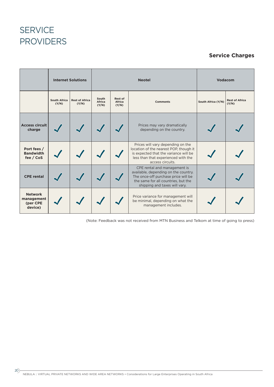20

#### **Service Charges**

|                                                     |                              | <b>Internet Solutions</b>      | <b>Neotel</b>                   |                                               |                                                                                                                                                                                     | Vodacom            |                                |
|-----------------------------------------------------|------------------------------|--------------------------------|---------------------------------|-----------------------------------------------|-------------------------------------------------------------------------------------------------------------------------------------------------------------------------------------|--------------------|--------------------------------|
|                                                     | <b>South Africa</b><br>(Y/N) | <b>Rest of Africa</b><br>(Y/N) | South<br><b>Africa</b><br>(Y/N) | Rest of<br>Africa<br><b>Comments</b><br>(Y/N) |                                                                                                                                                                                     | South Africa (Y/N) | <b>Rest of Africa</b><br>(Y/N) |
| <b>Access circuit</b><br>charge                     |                              |                                |                                 |                                               | Prices may vary dramatically<br>depending on the country.                                                                                                                           |                    |                                |
| Port fees /<br><b>Bandwidth</b><br>fee / CoS        |                              |                                |                                 |                                               | Prices will vary depending on the<br>location of the nearest POP, though it<br>is expected that the variance will be<br>less than that experienced with the<br>access circuits.     |                    |                                |
| <b>CPE rental</b>                                   |                              |                                |                                 |                                               | CPE rental and management is<br>available, depending on the country.<br>The once-off purchase price will be<br>the same for all countries, but the<br>shipping and taxes will vary. |                    |                                |
| <b>Network</b><br>management<br>(per CPE<br>device) |                              |                                |                                 |                                               | Price variance for management will<br>be minimal, depending on what the<br>management includes.                                                                                     |                    |                                |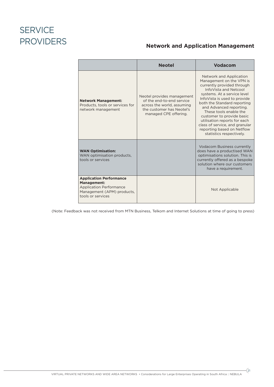# **SERVICE**

## PROVIDERS **Network and Application Management**

|                                                                                                                                           | <b>Neotel</b>                                                                                                                               | <b>Vodacom</b>                                                                                                                                                                                                                                                                                                                                                                                                         |
|-------------------------------------------------------------------------------------------------------------------------------------------|---------------------------------------------------------------------------------------------------------------------------------------------|------------------------------------------------------------------------------------------------------------------------------------------------------------------------------------------------------------------------------------------------------------------------------------------------------------------------------------------------------------------------------------------------------------------------|
| <b>Network Management:</b><br>Products, tools or services for<br>network management                                                       | Neotel provides management<br>of the end-to-end service<br>across the world, assuming<br>the customer has Neotel's<br>managed CPE offering. | Network and Application<br>Management on the VPN is<br>currently provided through<br>InfoVista and Netcool<br>systems. At a service level<br>InfoVista is used to provide<br>both the Standard reporting<br>and Advanced reporting.<br>These tools enable the<br>customer to provide basic<br>utilisation reports for each<br>class of service, and granular<br>reporting based on Netflow<br>statistics respectively. |
| <b>WAN Optimisation:</b><br>WAN optimisation products,<br>tools or services                                                               |                                                                                                                                             | <b>Vodacom Business currently</b><br>does have a productised WAN<br>optimisations solution. This is<br>currently offered as a bespoke<br>solution where our customers<br>have a requirement.                                                                                                                                                                                                                           |
| <b>Application Performance</b><br><b>Management:</b><br><b>Application Performance</b><br>Management (APM) products,<br>tools or services |                                                                                                                                             | Not Applicable                                                                                                                                                                                                                                                                                                                                                                                                         |

(Note: Feedback was not received from MTN Business, Telkom and Internet Solutions at time of going to press)

 $-(21)$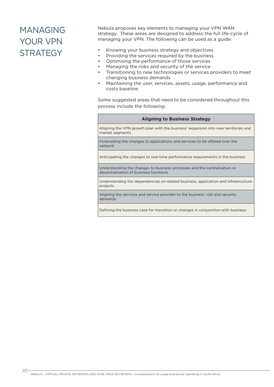### MANAGING YOUR VPN **STRATEGY**

 $(22)$ 

Nebula proposes key elements to managing your VPN WAN strategy. These areas are designed to address the full life-cycle of managing your VPN. The following can be used as a guide:

- Knowing your business strategy and objectives
- Providing the services required by the business
- Optimising the performance of those services
- Managing the risks and security of the service
- Transitioning to new technologies or services providers to meet changing business demands
- Maintaining the user, services, assets, usage, performance and costs baseline

Some suggested areas that need to be considered throughout this process include the following:

#### **Aligning to Business Strategy**

Aligning the VPN growth plan with the business' expansion into new territories and market segments

Forecasting the changes to applications and services to be offered over the network

Anticipating the changes to real-time performance requirements in the business

Understanding the changes to business processes and the centralisation or decentralisation of business functions

Understanding the dependencies on related business, application and infrastructure projects

Aligning the services and service provider to the business' risk and security demands

Defining the business case for transition or changes in conjunction with business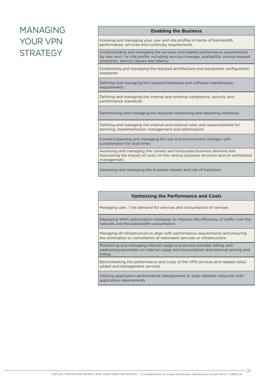### MANAGING YOUR VPN **STRATEGY**

#### **Enabling the Business**

Knowing and managing your user and site profiles in terms of bandwidth, performance, services and continuity requirements

Understanding and managing the services and related performance requirements by user and / or site profile, including service coverage, availability, service request resolution, service classes and latency

Establishing and managing the required architecture and equipment configuration standards

Defining and managing the required hardware and software maintenance requirements

Defining and managing the internal and external compliance, security and performance standards

Determining and managing the required monitoring and reporting interfaces

Defining and managing the internal and external roles and responsibilities for planning, implementation, management and optimisation

Forward planning and managing the site and environment changes with consideration for lead times

Assessing and managing the current and forecasted business demand and forecasting the impact of costs on the various business divisions and on centralised management

Assessing and managing the business impact and risk of transition

#### **Optimising the Performance and Costs**

Managing user / site demand for services and consumption of services

Deploying WAN optimisation strategies to improve the efficiency of traffic over the network and the bandwidth consumption

Managing all infrastructure to align with performance requirements and ensuring the elimination or cancellation of redundant services or infrastructure

Monitoring and managing internal usage and service provider billing, and addressing anomalies on internal usage and consumption and external pricing and billing

Benchmarking the performance and costs of the VPN services and related valueadded and management services

Utilising application performance management to align network resources with application requirements

 $\sqrt{23}$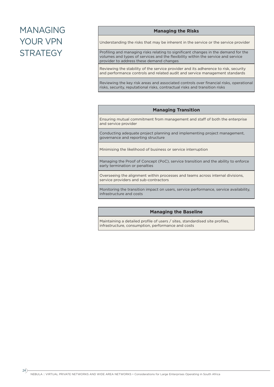### MANAGING YOUR VPN **STRATEGY**

24

#### **Managing the Risks**

Understanding the risks that may be inherent in the service or the service provider

Profiling and managing risks relating to significant changes in the demand for the volumes and types of services and the flexibility within the service and service provider to address these demand changes

Reviewing the stability of the service provider and its adherence to risk, security and performance controls and related audit and service management standards

Reviewing the key risk areas and associated controls over financial risks, operational risks, security, reputational risks, contractual risks and transition risks

#### **Managing Transition**

Ensuring mutual commitment from management and staff of both the enterprise and service provider

Conducting adequate project planning and implementing project management, governance and reporting structure

Minimising the likelihood of business or service interruption

Managing the Proof of Concept (PoC), service transition and the ability to enforce early termination or penalties

Overseeing the alignment within processes and teams across internal divisions, service providers and sub-contractors

Monitoring the transition impact on users, service performance, service availability, infrastructure and costs

#### **Managing the Baseline**

Maintaining a detailed profile of users / sites, standardised site profiles, infrastructure, consumption, performance and costs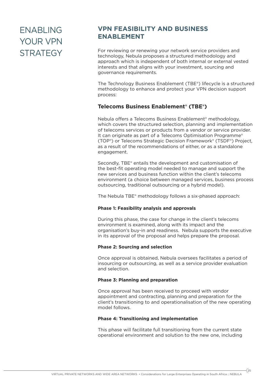### ENABLING YOUR VPN **STRATEGY**

### **VPN FEASIBILITY AND BUSINESS ENABLEMENT**

For reviewing or renewing your network service providers and technology, Nebula proposes a structured methodology and approach which is independent of both internal or external vested interests and that aligns with your investment, sourcing and governance requirements.

The Technology Business Enablement (TBE®) lifecycle is a structured methodology to enhance and protect your VPN decision support process:

#### **Telecoms Business Enablement® (TBE®)**

Nebula offers a Telecoms Business Enablement® methodology, which covers the structured selection, planning and implementation of telecoms services or products from a vendor or service provider. It can originate as part of a Telecoms Optimisation Programme® (TOP®) or Telecoms Strategic Decision Framework® (TSDF®) Project, as a result of the recommendations of either, or as a standalone engagement.

Secondly, TBE® entails the development and customisation of the best-fit operating model needed to manage and support the new services and business function within the client's telecoms environment (a choice between managed services, business process outsourcing, traditional outsourcing or a hybrid model).

The Nebula TBE® methodology follows a six-phased approach:

#### **Phase 1: Feasibility analysis and approvals**

During this phase, the case for change in the client's telecoms environment is examined, along with its impact and the organisation's buy-in and readiness. Nebula supports the executive in its approval of the proposal and helps prepare the proposal.

#### **Phase 2: Sourcing and selection**

Once approval is obtained, Nebula oversees facilitates a period of insourcing or outsourcing, as well as a service provider evaluation and selection.

#### **Phase 3: Planning and preparation**

Once approval has been received to proceed with vendor appointment and contracting, planning and preparation for the client's transitioning to and operationalisation of the new operating model follows.

#### **Phase 4: Transitioning and implementation**

This phase will facilitate full transitioning from the current state operational environment and solution to the new one, including

 $\sqrt{25}$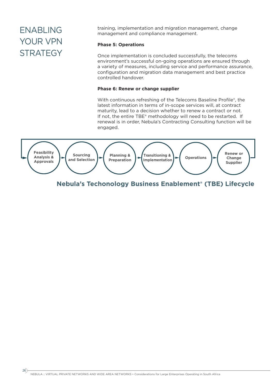### ENABLING YOUR VPN **STRATEGY**

26

training, implementation and migration management, change management and compliance management.

#### **Phase 5: Operations**

Once implementation is concluded successfully, the telecoms environment's successful on-going operations are ensured through a variety of measures, including service and performance assurance, configuration and migration data management and best practice controlled handover.

#### **Phase 6: Renew or change supplier**

With continuous refreshing of the Telecoms Baseline Profile®, the latest information in terms of in-scope services will, at contract maturity, lead to a decision whether to renew a contract or not. If not, the entire TBE® methodology will need to be restarted. If renewal is in order, Nebula's Contracting Consulting function will be engaged.



**Nebula's Techonology Business Enablement® (TBE) Lifecycle**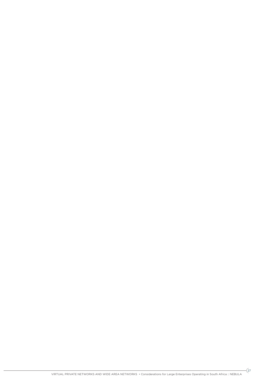$-(27)$